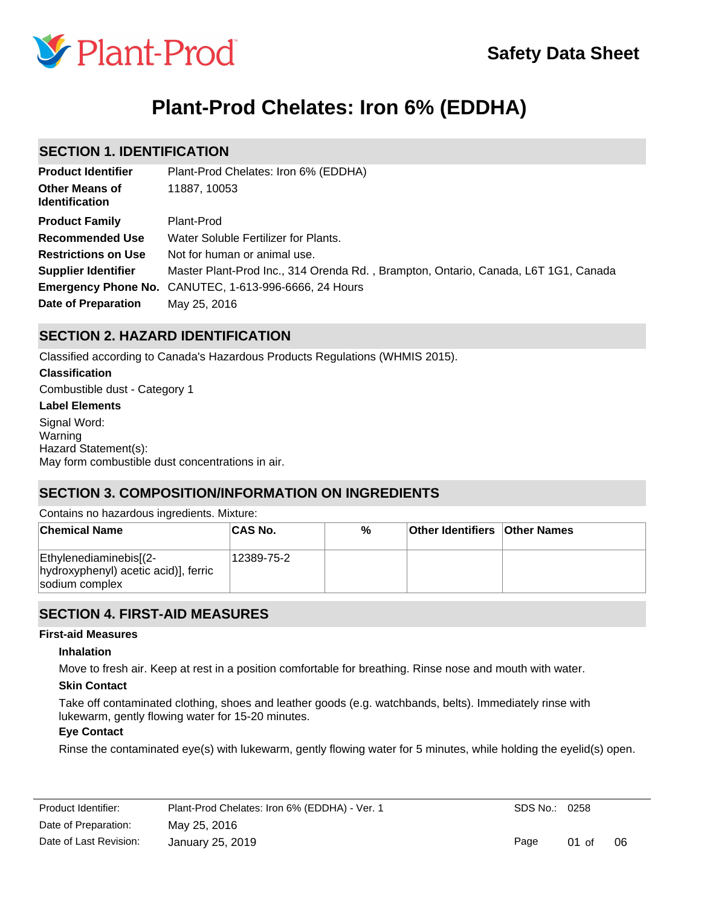

# **Plant-Prod Chelates: Iron 6% (EDDHA)**

## **SECTION 1. IDENTIFICATION**

| <b>Product Identifier</b>                      | Plant-Prod Chelates: Iron 6% (EDDHA)                                               |
|------------------------------------------------|------------------------------------------------------------------------------------|
| <b>Other Means of</b><br><b>Identification</b> | 11887, 10053                                                                       |
| <b>Product Family</b>                          | Plant-Prod                                                                         |
| <b>Recommended Use</b>                         | Water Soluble Fertilizer for Plants.                                               |
| <b>Restrictions on Use</b>                     | Not for human or animal use.                                                       |
| <b>Supplier Identifier</b>                     | Master Plant-Prod Inc., 314 Orenda Rd., Brampton, Ontario, Canada, L6T 1G1, Canada |
|                                                | <b>Emergency Phone No.</b> CANUTEC, 1-613-996-6666, 24 Hours                       |
| Date of Preparation                            | May 25, 2016                                                                       |

## **SECTION 2. HAZARD IDENTIFICATION**

Classified according to Canada's Hazardous Products Regulations (WHMIS 2015).

#### **Classification**

Combustible dust - Category 1

#### **Label Elements**

Signal Word: Warning Hazard Statement(s): May form combustible dust concentrations in air.

## **SECTION 3. COMPOSITION/INFORMATION ON INGREDIENTS**

Contains no hazardous ingredients. Mixture:

| <b>Chemical Name</b>                                                             | ∣CAS No.   | % | <b>Other Identifiers Other Names</b> |  |
|----------------------------------------------------------------------------------|------------|---|--------------------------------------|--|
| Ethylenediaminebis[(2-<br>hydroxyphenyl) acetic acid)], ferric<br>sodium complex | 12389-75-2 |   |                                      |  |

## **SECTION 4. FIRST-AID MEASURES**

#### **First-aid Measures**

#### **Inhalation**

Move to fresh air. Keep at rest in a position comfortable for breathing. Rinse nose and mouth with water.

#### **Skin Contact**

Take off contaminated clothing, shoes and leather goods (e.g. watchbands, belts). Immediately rinse with lukewarm, gently flowing water for 15-20 minutes.

#### **Eye Contact**

Rinse the contaminated eye(s) with lukewarm, gently flowing water for 5 minutes, while holding the eyelid(s) open.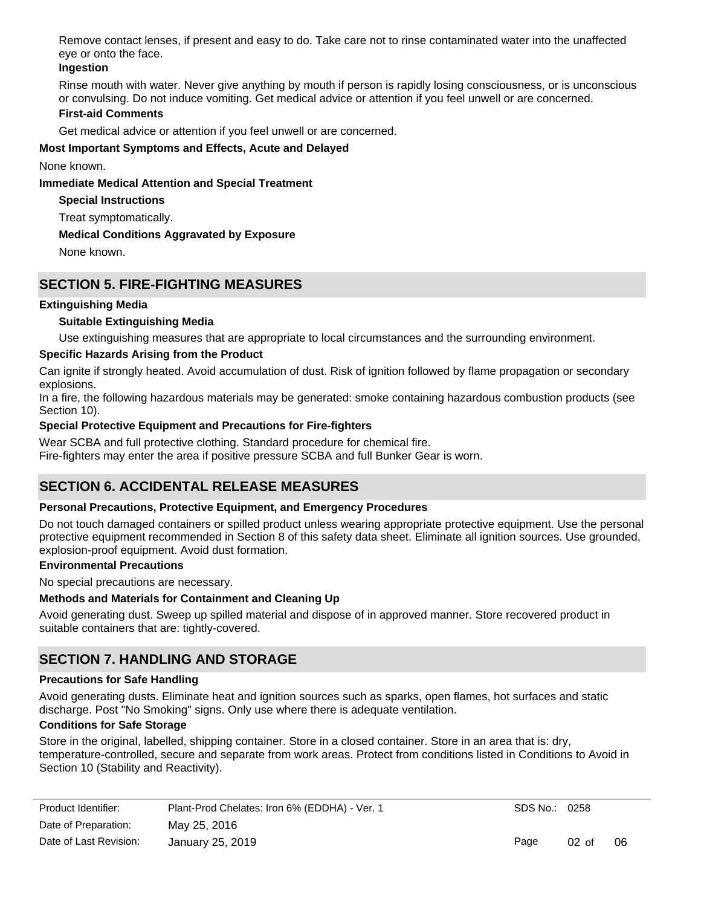Remove contact lenses, if present and easy to do. Take care not to rinse contaminated water into the unaffected eye or onto the face.

### **Ingestion**

Rinse mouth with water. Never give anything by mouth if person is rapidly losing consciousness, or is unconscious or convulsing. Do not induce vomiting. Get medical advice or attention if you feel unwell or are concerned.

## **First-aid Comments**

Get medical advice or attention if you feel unwell or are concerned.

### **Most Important Symptoms and Effects, Acute and Delayed**

None known.

#### **Immediate Medical Attention and Special Treatment**

**Special Instructions**

Treat symptomatically.

## **Medical Conditions Aggravated by Exposure**

None known.

## **SECTION 5. FIRE-FIGHTING MEASURES**

## **Extinguishing Media**

## **Suitable Extinguishing Media**

Use extinguishing measures that are appropriate to local circumstances and the surrounding environment.

### **Specific Hazards Arising from the Product**

Can ignite if strongly heated. Avoid accumulation of dust. Risk of ignition followed by flame propagation or secondary explosions.

In a fire, the following hazardous materials may be generated: smoke containing hazardous combustion products (see Section 10).

### **Special Protective Equipment and Precautions for Fire-fighters**

Wear SCBA and full protective clothing. Standard procedure for chemical fire. Fire-fighters may enter the area if positive pressure SCBA and full Bunker Gear is worn.

## **SECTION 6. ACCIDENTAL RELEASE MEASURES**

#### **Personal Precautions, Protective Equipment, and Emergency Procedures**

Do not touch damaged containers or spilled product unless wearing appropriate protective equipment. Use the personal protective equipment recommended in Section 8 of this safety data sheet. Eliminate all ignition sources. Use grounded, explosion-proof equipment. Avoid dust formation.

## **Environmental Precautions**

No special precautions are necessary.

#### **Methods and Materials for Containment and Cleaning Up**

Avoid generating dust. Sweep up spilled material and dispose of in approved manner. Store recovered product in suitable containers that are: tightly-covered.

## **SECTION 7. HANDLING AND STORAGE**

#### **Precautions for Safe Handling**

Avoid generating dusts. Eliminate heat and ignition sources such as sparks, open flames, hot surfaces and static discharge. Post "No Smoking" signs. Only use where there is adequate ventilation.

#### **Conditions for Safe Storage**

Store in the original, labelled, shipping container. Store in a closed container. Store in an area that is: dry, temperature-controlled, secure and separate from work areas. Protect from conditions listed in Conditions to Avoid in Section 10 (Stability and Reactivity).

| Product Identifier:    | Plant-Prod Chelates: Iron 6% (EDDHA) - Ver. 1 |
|------------------------|-----------------------------------------------|
| Date of Preparation:   | May 25, 2016                                  |
| Date of Last Revision: | January 25, 2019                              |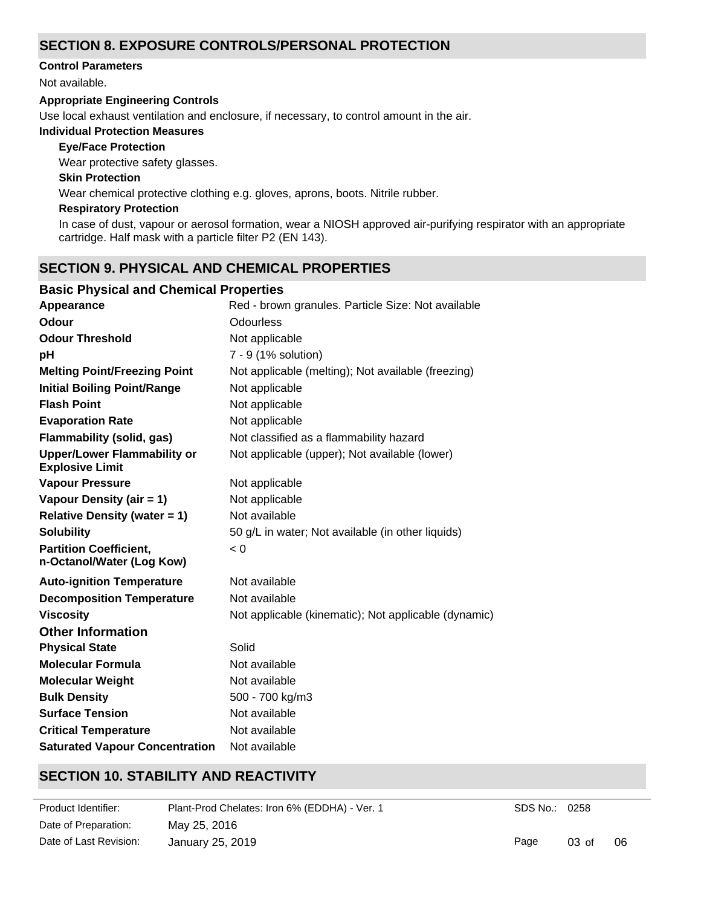## **SECTION 8. EXPOSURE CONTROLS/PERSONAL PROTECTION**

#### **Control Parameters**

Not available.

#### **Appropriate Engineering Controls**

Use local exhaust ventilation and enclosure, if necessary, to control amount in the air.

### **Individual Protection Measures**

#### **Eye/Face Protection**

Wear protective safety glasses.

#### **Skin Protection**

Wear chemical protective clothing e.g. gloves, aprons, boots. Nitrile rubber.

#### **Respiratory Protection**

In case of dust, vapour or aerosol formation, wear a NIOSH approved air-purifying respirator with an appropriate cartridge. Half mask with a particle filter P2 (EN 143).

## **SECTION 9. PHYSICAL AND CHEMICAL PROPERTIES**

## **Basic Physical and Chemical Properties**

| Appearance                                                   | Red - brown granules. Particle Size: Not available   |
|--------------------------------------------------------------|------------------------------------------------------|
| Odour                                                        | <b>Odourless</b>                                     |
| <b>Odour Threshold</b>                                       | Not applicable                                       |
| рH                                                           | 7 - 9 (1% solution)                                  |
| <b>Melting Point/Freezing Point</b>                          | Not applicable (melting); Not available (freezing)   |
| <b>Initial Boiling Point/Range</b>                           | Not applicable                                       |
| <b>Flash Point</b>                                           | Not applicable                                       |
| <b>Evaporation Rate</b>                                      | Not applicable                                       |
| Flammability (solid, gas)                                    | Not classified as a flammability hazard              |
| <b>Upper/Lower Flammability or</b><br><b>Explosive Limit</b> | Not applicable (upper); Not available (lower)        |
| <b>Vapour Pressure</b>                                       | Not applicable                                       |
| Vapour Density (air = 1)                                     | Not applicable                                       |
| <b>Relative Density (water = 1)</b>                          | Not available                                        |
| <b>Solubility</b>                                            | 50 g/L in water; Not available (in other liquids)    |
| <b>Partition Coefficient,</b><br>n-Octanol/Water (Log Kow)   | < 0                                                  |
| <b>Auto-ignition Temperature</b>                             | Not available                                        |
| <b>Decomposition Temperature</b>                             | Not available                                        |
| <b>Viscosity</b>                                             | Not applicable (kinematic); Not applicable (dynamic) |
| <b>Other Information</b>                                     |                                                      |
| <b>Physical State</b>                                        | Solid                                                |
| <b>Molecular Formula</b>                                     | Not available                                        |
| <b>Molecular Weight</b>                                      | Not available                                        |
| <b>Bulk Density</b>                                          | 500 - 700 kg/m3                                      |
| <b>Surface Tension</b>                                       | Not available                                        |
| <b>Critical Temperature</b>                                  | Not available                                        |
| <b>Saturated Vapour Concentration</b>                        | Not available                                        |

## **SECTION 10. STABILITY AND REACTIVITY**

**Product Identifier:** Date of Preparation: May 25, 2016 Plant-Prod Chelates: Iron 6% (EDDHA) - Ver. 1 Date of Last Revision: January 25, 2019

SDS No.: 0258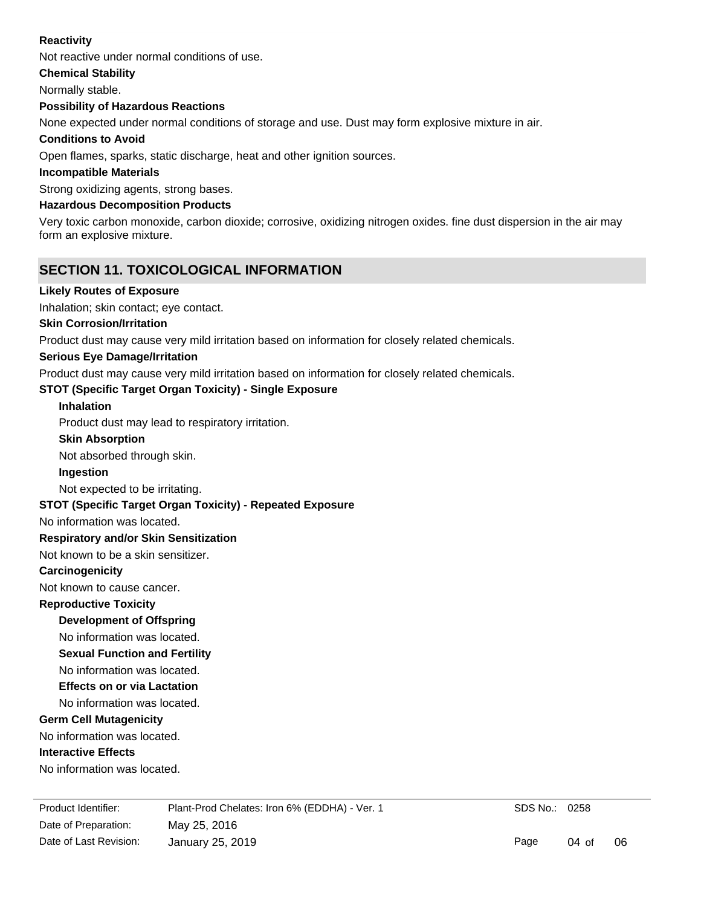#### **Reactivity**

Not reactive under normal conditions of use.

**Chemical Stability**

Normally stable.

#### **Possibility of Hazardous Reactions**

None expected under normal conditions of storage and use. Dust may form explosive mixture in air.

#### **Conditions to Avoid**

Open flames, sparks, static discharge, heat and other ignition sources.

#### **Incompatible Materials**

Strong oxidizing agents, strong bases.

#### **Hazardous Decomposition Products**

Very toxic carbon monoxide, carbon dioxide; corrosive, oxidizing nitrogen oxides. fine dust dispersion in the air may form an explosive mixture.

## **SECTION 11. TOXICOLOGICAL INFORMATION**

#### **Likely Routes of Exposure**

Inhalation; skin contact; eye contact.

#### **Skin Corrosion/Irritation**

Product dust may cause very mild irritation based on information for closely related chemicals.

#### **Serious Eye Damage/Irritation**

Product dust may cause very mild irritation based on information for closely related chemicals.

#### **STOT (Specific Target Organ Toxicity) - Single Exposure**

#### **Inhalation**

Product dust may lead to respiratory irritation.

#### **Skin Absorption**

Not absorbed through skin.

#### **Ingestion**

Not expected to be irritating.

#### **STOT (Specific Target Organ Toxicity) - Repeated Exposure**

No information was located.

#### **Respiratory and/or Skin Sensitization**

Not known to be a skin sensitizer.

#### **Carcinogenicity**

Not known to cause cancer.

#### **Reproductive Toxicity**

**Development of Offspring**

## No information was located.

**Sexual Function and Fertility**

No information was located.

#### **Effects on or via Lactation**

No information was located.

#### **Germ Cell Mutagenicity**

No information was located.

#### **Interactive Effects**

No information was located.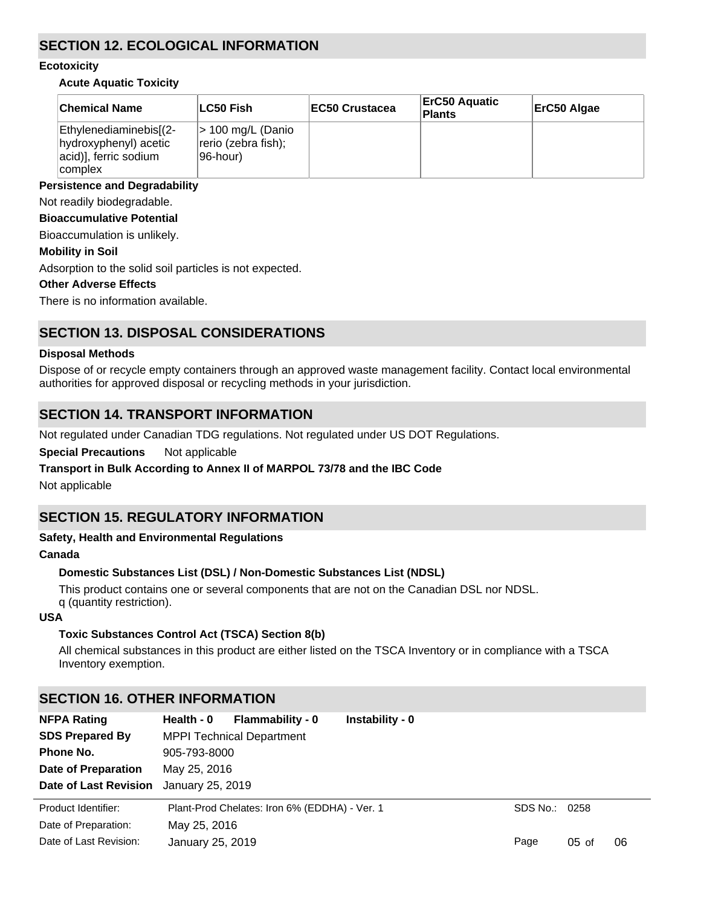## **SECTION 12. ECOLOGICAL INFORMATION**

#### **Ecotoxicity**

#### **Acute Aquatic Toxicity**

| <b>Chemical Name</b>                                                                | ∣LC50 Fish                                             | <b>IEC50 Crustacea</b> | <b>ErC50 Aquatic</b><br>Plants | ErC50 Algae |
|-------------------------------------------------------------------------------------|--------------------------------------------------------|------------------------|--------------------------------|-------------|
| Ethylenediaminebis[(2-<br>hydroxyphenyl) acetic<br>acid)], ferric sodium<br>complex | $>$ 100 mg/L (Danio<br>rerio (zebra fish);<br>96-hour) |                        |                                |             |

#### **Persistence and Degradability**

Not readily biodegradable.

#### **Bioaccumulative Potential**

Bioaccumulation is unlikely.

#### **Mobility in Soil**

Adsorption to the solid soil particles is not expected.

#### **Other Adverse Effects**

There is no information available.

## **SECTION 13. DISPOSAL CONSIDERATIONS**

#### **Disposal Methods**

Dispose of or recycle empty containers through an approved waste management facility. Contact local environmental authorities for approved disposal or recycling methods in your jurisdiction.

## **SECTION 14. TRANSPORT INFORMATION**

Not regulated under Canadian TDG regulations. Not regulated under US DOT Regulations.

**Special Precautions** Not applicable

#### **Transport in Bulk According to Annex II of MARPOL 73/78 and the IBC Code**

Not applicable

## **SECTION 15. REGULATORY INFORMATION**

#### **Safety, Health and Environmental Regulations**

#### **Canada**

#### **Domestic Substances List (DSL) / Non-Domestic Substances List (NDSL)**

This product contains one or several components that are not on the Canadian DSL nor NDSL. q (quantity restriction).

#### **USA**

#### **Toxic Substances Control Act (TSCA) Section 8(b)**

All chemical substances in this product are either listed on the TSCA Inventory or in compliance with a TSCA Inventory exemption.

## **SECTION 16. OTHER INFORMATION**

| <b>NFPA Rating</b>           | Health - 0       | <b>Flammability - 0</b>                       | Instability - 0 |      |               |    |
|------------------------------|------------------|-----------------------------------------------|-----------------|------|---------------|----|
| <b>SDS Prepared By</b>       |                  | <b>MPPI Technical Department</b>              |                 |      |               |    |
| Phone No.                    | 905-793-8000     |                                               |                 |      |               |    |
| Date of Preparation          | May 25, 2016     |                                               |                 |      |               |    |
| <b>Date of Last Revision</b> | January 25, 2019 |                                               |                 |      |               |    |
| Product Identifier:          |                  | Plant-Prod Chelates: Iron 6% (EDDHA) - Ver. 1 |                 |      | SDS No.: 0258 |    |
| Date of Preparation:         | May 25, 2016     |                                               |                 |      |               |    |
| Date of Last Revision:       | January 25, 2019 |                                               |                 | Page | $05$ of       | 06 |